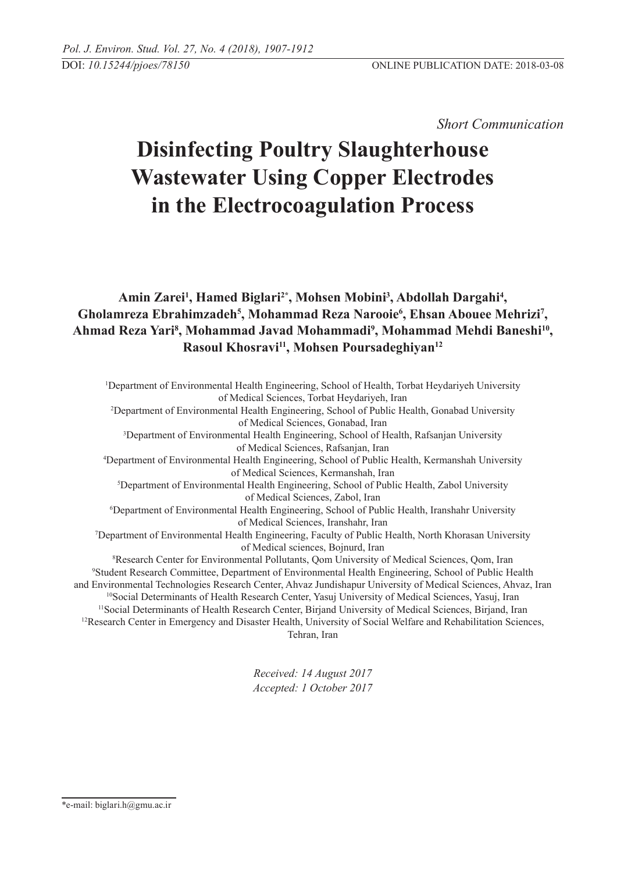*Short Communication* 

# **Disinfecting Poultry Slaughterhouse Wastewater Using Copper Electrodes in the Electrocoagulation Process**

Amin Zarei<sup>1</sup>, Hamed Biglari<sup>2\*</sup>, Mohsen Mobini<sup>3</sup>, Abdollah Dargahi<sup>4</sup>, Gholamreza Ebrahimzadeh<sup>5</sup>, Mohammad Reza Narooie<sup>6</sup>, Ehsan Abouee Mehrizi<sup>7</sup>, **Ahmad Reza Yari8 , Mohammad Javad Mohammadi9 , Mohammad Mehdi Baneshi10, Rasoul Khosravi11, Mohsen Poursadeghiyan12**

1 Department of Environmental Health Engineering, School of Health, Torbat Heydariyeh University of Medical Sciences, Torbat Heydariyeh, Iran 2 Department of Environmental Health Engineering, School of Public Health, Gonabad University of Medical Sciences, Gonabad, Iran 3 Department of Environmental Health Engineering, School of Health, Rafsanjan University of Medical Sciences, Rafsanjan, Iran 4 Department of Environmental Health Engineering, School of Public Health, Kermanshah University of Medical Sciences, Kermanshah, Iran 5 Department of Environmental Health Engineering, School of Public Health, Zabol University of Medical Sciences, Zabol, Iran 6 Department of Environmental Health Engineering, School of Public Health, Iranshahr University of Medical Sciences, Iranshahr, Iran 7 Department of Environmental Health Engineering, Faculty of Public Health, North Khorasan University of Medical sciences, Bojnurd, Iran 8 Research Center for Environmental Pollutants, Qom University of Medical Sciences, Qom, Iran 9 Student Research Committee, Department of Environmental Health Engineering, School of Public Health and Environmental Technologies Research Center, Ahvaz Jundishapur University of Medical Sciences, Ahvaz, Iran <sup>10</sup>Social Determinants of Health Research Center, Yasuj University of Medical Sciences, Yasuj, Iran 11Social Determinants of Health Research Center, Birjand University of Medical Sciences, Birjand, Iran <sup>12</sup>Research Center in Emergency and Disaster Health, University of Social Welfare and Rehabilitation Sciences, Tehran, Iran

> *Received: 14 August 2017 Accepted: 1 October 2017*

\*e-mail: biglari.h@gmu.ac.ir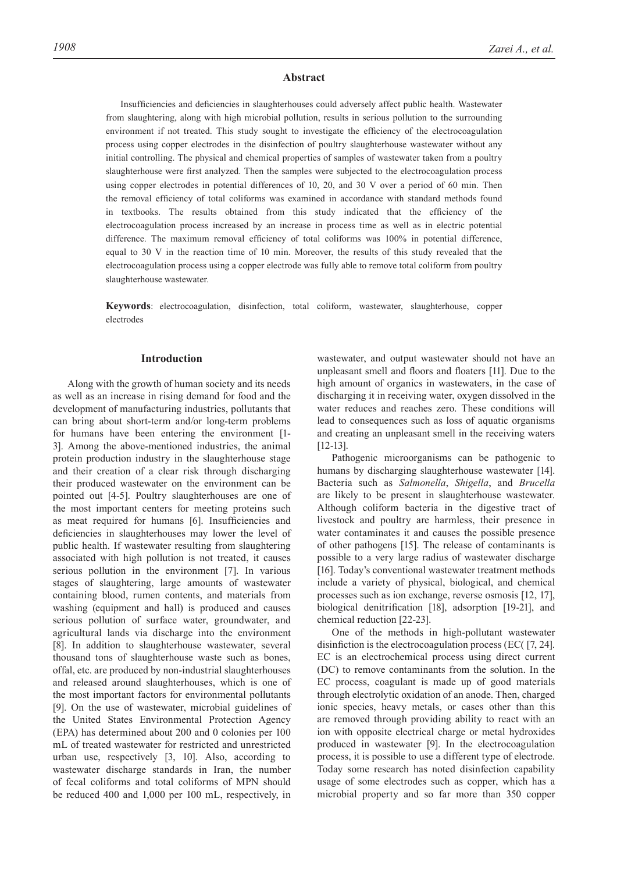#### **Abstract**

Insufficiencies and deficiencies in slaughterhouses could adversely affect public health. Wastewater from slaughtering, along with high microbial pollution, results in serious pollution to the surrounding environment if not treated. This study sought to investigate the efficiency of the electrocoagulation process using copper electrodes in the disinfection of poultry slaughterhouse wastewater without any initial controlling. The physical and chemical properties of samples of wastewater taken from a poultry slaughterhouse were first analyzed. Then the samples were subjected to the electrocoagulation process using copper electrodes in potential differences of 10, 20, and 30 V over a period of 60 min. Then the removal efficiency of total coliforms was examined in accordance with standard methods found in textbooks. The results obtained from this study indicated that the efficiency of the electrocoagulation process increased by an increase in process time as well as in electric potential difference. The maximum removal efficiency of total coliforms was 100% in potential difference, equal to 30 V in the reaction time of 10 min. Moreover, the results of this study revealed that the electrocoagulation process using a copper electrode was fully able to remove total coliform from poultry slaughterhouse wastewater.

**Keywords**: electrocoagulation, disinfection, total coliform, wastewater, slaughterhouse, copper electrodes

## **Introduction**

Along with the growth of human society and its needs as well as an increase in rising demand for food and the development of manufacturing industries, pollutants that can bring about short-term and/or long-term problems for humans have been entering the environment [1- 3]. Among the above-mentioned industries, the animal protein production industry in the slaughterhouse stage and their creation of a clear risk through discharging their produced wastewater on the environment can be pointed out [4-5]. Poultry slaughterhouses are one of the most important centers for meeting proteins such as meat required for humans [6]. Insufficiencies and deficiencies in slaughterhouses may lower the level of public health. If wastewater resulting from slaughtering associated with high pollution is not treated, it causes serious pollution in the environment [7]. In various stages of slaughtering, large amounts of wastewater containing blood, rumen contents, and materials from washing (equipment and hall) is produced and causes serious pollution of surface water, groundwater, and agricultural lands via discharge into the environment [8]. In addition to slaughterhouse wastewater, several thousand tons of slaughterhouse waste such as bones, offal, etc. are produced by non-industrial slaughterhouses and released around slaughterhouses, which is one of the most important factors for environmental pollutants [9]. On the use of wastewater, microbial guidelines of the United States Environmental Protection Agency (EPA) has determined about 200 and 0 colonies per 100 mL of treated wastewater for restricted and unrestricted urban use, respectively [3, 10]. Also, according to wastewater discharge standards in Iran, the number of fecal coliforms and total coliforms of MPN should be reduced 400 and 1,000 per 100 mL, respectively, in

wastewater, and output wastewater should not have an unpleasant smell and floors and floaters [11]. Due to the high amount of organics in wastewaters, in the case of discharging it in receiving water, oxygen dissolved in the water reduces and reaches zero. These conditions will lead to consequences such as loss of aquatic organisms and creating an unpleasant smell in the receiving waters [12-13].

Pathogenic microorganisms can be pathogenic to humans by discharging slaughterhouse wastewater [14]. Bacteria such as *Salmonella*, *Shigella*, and *Brucella* are likely to be present in slaughterhouse wastewater. Although coliform bacteria in the digestive tract of livestock and poultry are harmless, their presence in water contaminates it and causes the possible presence of other pathogens [15]. The release of contaminants is possible to a very large radius of wastewater discharge [16]. Today's conventional wastewater treatment methods include a variety of physical, biological, and chemical processes such as ion exchange, reverse osmosis [12, 17], biological denitrification [18], adsorption [19-21], and chemical reduction [22-23].

One of the methods in high-pollutant wastewater disinfiction is the electrocoagulation process (EC( [7, 24]. EC is an electrochemical process using direct current (DC) to remove contaminants from the solution. In the EC process, coagulant is made up of good materials through electrolytic oxidation of an anode. Then, charged ionic species, heavy metals, or cases other than this are removed through providing ability to react with an ion with opposite electrical charge or metal hydroxides produced in wastewater [9]. In the electrocoagulation process, it is possible to use a different type of electrode. Today some research has noted disinfection capability usage of some electrodes such as copper, which has a microbial property and so far more than 350 copper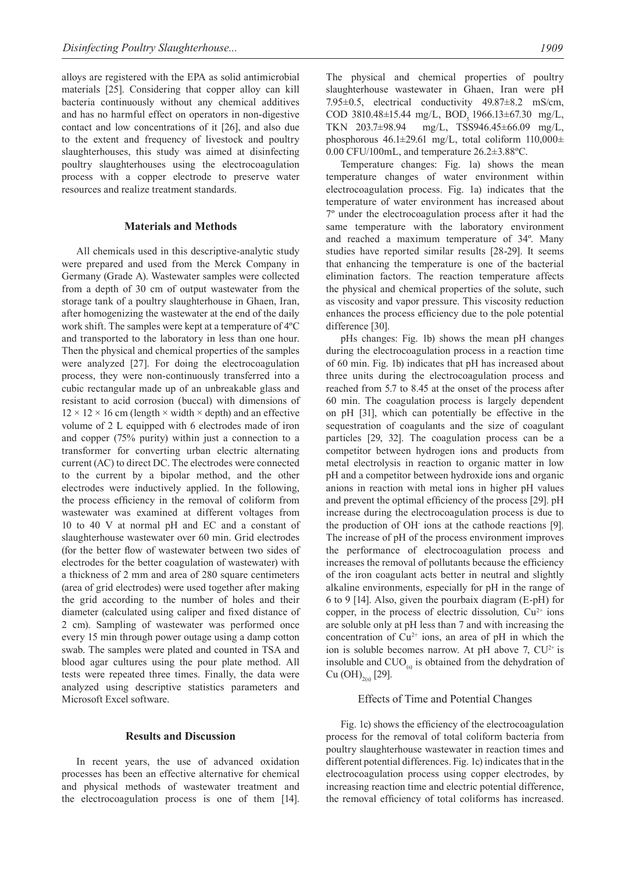alloys are registered with the EPA as solid antimicrobial materials [25]. Considering that copper alloy can kill bacteria continuously without any chemical additives and has no harmful effect on operators in non-digestive contact and low concentrations of it [26], and also due to the extent and frequency of livestock and poultry slaughterhouses, this study was aimed at disinfecting poultry slaughterhouses using the electrocoagulation process with a copper electrode to preserve water resources and realize treatment standards.

#### **Materials and Methods**

All chemicals used in this descriptive-analytic study were prepared and used from the Merck Company in Germany (Grade A). Wastewater samples were collected from a depth of 30 cm of output wastewater from the storage tank of a poultry slaughterhouse in Ghaen, Iran, after homogenizing the wastewater at the end of the daily work shift. The samples were kept at a temperature of 4ºC and transported to the laboratory in less than one hour. Then the physical and chemical properties of the samples were analyzed [27]. For doing the electrocoagulation process, they were non-continuously transferred into a cubic rectangular made up of an unbreakable glass and resistant to acid corrosion (buccal) with dimensions of  $12 \times 12 \times 16$  cm (length  $\times$  width  $\times$  depth) and an effective volume of 2 L equipped with 6 electrodes made of iron and copper (75% purity) within just a connection to a transformer for converting urban electric alternating current (AC) to direct DC. The electrodes were connected to the current by a bipolar method, and the other electrodes were inductively applied. In the following, the process efficiency in the removal of coliform from wastewater was examined at different voltages from 10 to 40 V at normal pH and EC and a constant of slaughterhouse wastewater over 60 min. Grid electrodes (for the better flow of wastewater between two sides of electrodes for the better coagulation of wastewater) with a thickness of 2 mm and area of 280 square centimeters (area of grid electrodes) were used together after making the grid according to the number of holes and their diameter (calculated using caliper and fixed distance of 2 cm). Sampling of wastewater was performed once every 15 min through power outage using a damp cotton swab. The samples were plated and counted in TSA and blood agar cultures using the pour plate method. All tests were repeated three times. Finally, the data were analyzed using descriptive statistics parameters and Microsoft Excel software.

## **Results and Discussion**

In recent years, the use of advanced oxidation processes has been an effective alternative for chemical and physical methods of wastewater treatment and the electrocoagulation process is one of them [14].

The physical and chemical properties of poultry slaughterhouse wastewater in Ghaen, Iran were pH 7.95±0.5, electrical conductivity 49.87±8.2 mS/cm, COD 3810.48±15.44 mg/L, BOD<sub>5</sub> 1966.13±67.30 mg/L,<br>TKN 203.7±98.94 mg/L, TSS946.45±66.09 mg/L,  $mg/L$ , TSS946.45±66.09 mg/L, phosphorous  $46.1\pm 29.61$  mg/L, total coliform  $110,000\pm$ 0.00 CFU/100mL, and temperature 26.2±3.88ºC.

Temperature changes: Fig. 1a) shows the mean temperature changes of water environment within electrocoagulation process. Fig. 1a) indicates that the temperature of water environment has increased about 7º under the electrocoagulation process after it had the same temperature with the laboratory environment and reached a maximum temperature of 34º. Many studies have reported similar results [28-29]. It seems that enhancing the temperature is one of the bacterial elimination factors. The reaction temperature affects the physical and chemical properties of the solute, such as viscosity and vapor pressure. This viscosity reduction enhances the process efficiency due to the pole potential difference [30].

pHs changes: Fig. 1b) shows the mean pH changes during the electrocoagulation process in a reaction time of 60 min. Fig. 1b) indicates that pH has increased about three units during the electrocoagulation process and reached from 5.7 to 8.45 at the onset of the process after 60 min. The coagulation process is largely dependent on pH [31], which can potentially be effective in the sequestration of coagulants and the size of coagulant particles [29, 32]. The coagulation process can be a competitor between hydrogen ions and products from metal electrolysis in reaction to organic matter in low pH and a competitor between hydroxide ions and organic anions in reaction with metal ions in higher pH values and prevent the optimal efficiency of the process [29]. pH increase during the electrocoagulation process is due to the production of OH- ions at the cathode reactions [9]. The increase of pH of the process environment improves the performance of electrocoagulation process and increases the removal of pollutants because the efficiency of the iron coagulant acts better in neutral and slightly alkaline environments, especially for pH in the range of 6 to 9 [14]. Also, given the pourbaix diagram (E-pH) for copper, in the process of electric dissolution,  $Cu^{2+}$  ions are soluble only at pH less than 7 and with increasing the concentration of  $Cu^{2+}$  ions, an area of pH in which the ion is soluble becomes narrow. At pH above 7,  $CU^{2+}$  is insoluble and  $CUO<sub>(s)</sub>$  is obtained from the dehydration of  $Cu$  (OH)<sub>2(s)</sub> [29].

## Effects of Time and Potential Changes

Fig. 1c) shows the efficiency of the electrocoagulation process for the removal of total coliform bacteria from poultry slaughterhouse wastewater in reaction times and different potential differences. Fig. 1c) indicates that in the electrocoagulation process using copper electrodes, by increasing reaction time and electric potential difference, the removal efficiency of total coliforms has increased.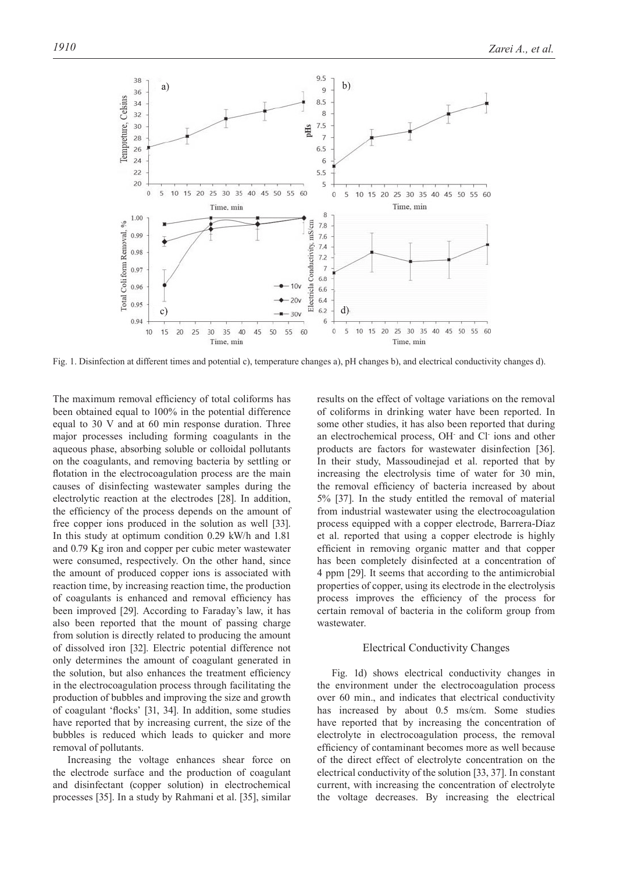

Fig. 1. Disinfection at different times and potential c), temperature changes a), pH changes b), and electrical conductivity changes d).

The maximum removal efficiency of total coliforms has been obtained equal to 100% in the potential difference equal to 30 V and at 60 min response duration. Three major processes including forming coagulants in the aqueous phase, absorbing soluble or colloidal pollutants on the coagulants, and removing bacteria by settling or flotation in the electrocoagulation process are the main causes of disinfecting wastewater samples during the electrolytic reaction at the electrodes [28]. In addition, the efficiency of the process depends on the amount of free copper ions produced in the solution as well [33]. In this study at optimum condition 0.29 kW/h and 1.81 and 0.79 Kg iron and copper per cubic meter wastewater were consumed, respectively. On the other hand, since the amount of produced copper ions is associated with reaction time, by increasing reaction time, the production of coagulants is enhanced and removal efficiency has been improved [29]. According to Faraday's law, it has also been reported that the mount of passing charge from solution is directly related to producing the amount of dissolved iron [32]. Electric potential difference not only determines the amount of coagulant generated in the solution, but also enhances the treatment efficiency in the electrocoagulation process through facilitating the production of bubbles and improving the size and growth of coagulant 'flocks' [31, 34]. In addition, some studies have reported that by increasing current, the size of the bubbles is reduced which leads to quicker and more removal of pollutants.

Increasing the voltage enhances shear force on the electrode surface and the production of coagulant and disinfectant (copper solution) in electrochemical processes [35]. In a study by Rahmani et al. [35], similar results on the effect of voltage variations on the removal of coliforms in drinking water have been reported. In some other studies, it has also been reported that during an electrochemical process, OH and Cl ions and other products are factors for wastewater disinfection [36]. In their study, Massoudinejad et al. reported that by increasing the electrolysis time of water for 30 min, the removal efficiency of bacteria increased by about 5% [37]. In the study entitled the removal of material from industrial wastewater using the electrocoagulation process equipped with a copper electrode, Barrera-Díaz et al. reported that using a copper electrode is highly efficient in removing organic matter and that copper has been completely disinfected at a concentration of 4 ppm [29]. It seems that according to the antimicrobial properties of copper, using its electrode in the electrolysis process improves the efficiency of the process for certain removal of bacteria in the coliform group from wastewater.

#### Electrical Conductivity Changes

Fig. 1d) shows electrical conductivity changes in the environment under the electrocoagulation process over 60 min., and indicates that electrical conductivity has increased by about 0.5 ms/cm. Some studies have reported that by increasing the concentration of electrolyte in electrocoagulation process, the removal efficiency of contaminant becomes more as well because of the direct effect of electrolyte concentration on the electrical conductivity of the solution [33, 37]. In constant current, with increasing the concentration of electrolyte the voltage decreases. By increasing the electrical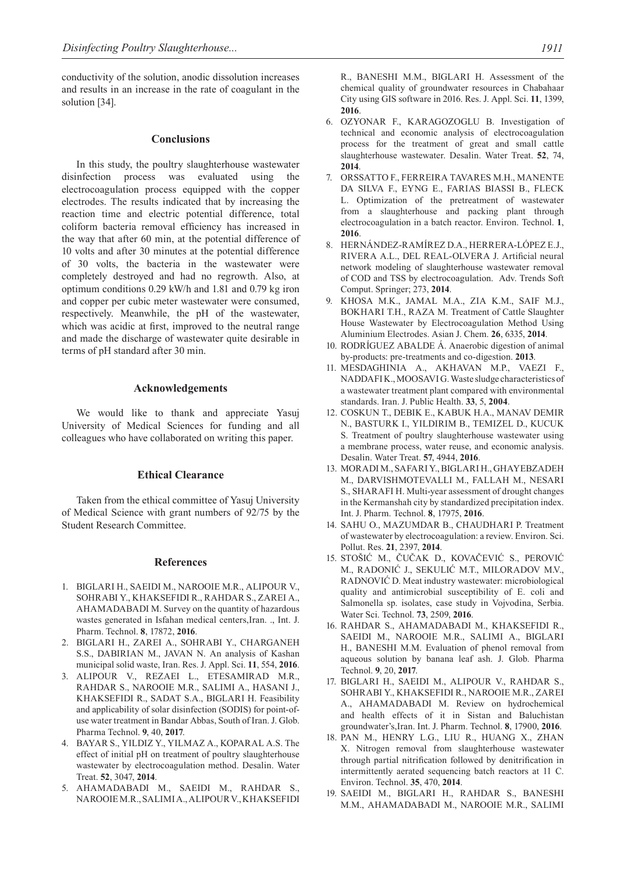conductivity of the solution, anodic dissolution increases and results in an increase in the rate of coagulant in the solution [34].

#### **Conclusions**

In this study, the poultry slaughterhouse wastewater disinfection process was evaluated using the electrocoagulation process equipped with the copper electrodes. The results indicated that by increasing the reaction time and electric potential difference, total coliform bacteria removal efficiency has increased in the way that after 60 min, at the potential difference of 10 volts and after 30 minutes at the potential difference of 30 volts, the bacteria in the wastewater were completely destroyed and had no regrowth. Also, at optimum conditions 0.29 kW/h and 1.81 and 0.79 kg iron and copper per cubic meter wastewater were consumed, respectively. Meanwhile, the pH of the wastewater, which was acidic at first, improved to the neutral range and made the discharge of wastewater quite desirable in terms of pH standard after 30 min.

#### **Acknowledgements**

We would like to thank and appreciate Yasuj University of Medical Sciences for funding and all colleagues who have collaborated on writing this paper.

## **Ethical Clearance**

Taken from the ethical committee of Yasuj University of Medical Science with grant numbers of 92/75 by the Student Research Committee.

## **References**

- 1. BIGLARI H., SAEIDI M., NAROOIE M.R., ALIPOUR V., SOHRABI Y., KHAKSEFIDI R., RAHDAR S., ZAREI A., AHAMADABADI M. Survey on the quantity of hazardous wastes generated in Isfahan medical centers,Iran. ., Int. J. Pharm. Technol. **8**, 17872, **2016**.
- 2. BIGLARI H., ZAREI A., SOHRABI Y., CHARGANEH S.S., DABIRIAN M., JAVAN N. An analysis of Kashan municipal solid waste, Iran. Res. J. Appl. Sci. **11**, 554, **2016**.
- 3. ALIPOUR V., REZAEI L., ETESAMIRAD M.R., RAHDAR S., NAROOIE M.R., SALIMI A., HASANI J., KHAKSEFIDI R., SADAT S.A., BIGLARI H. Feasibility and applicability of solar disinfection (SODIS) for point-ofuse water treatment in Bandar Abbas, South of Iran. J. Glob. Pharma Technol. **9**, 40, **2017**.
- 4. BAYAR S., YILDIZ Y., YILMAZ A., KOPARAL A.S. The effect of initial pH on treatment of poultry slaughterhouse wastewater by electrocoagulation method. Desalin. Water Treat. **52**, 3047, **2014**.
- 5. AHAMADABADI M., SAEIDI M., RAHDAR S., NAROOIE M.R., SALIMI A., ALIPOUR V., KHAKSEFIDI

R., BANESHI M.M., BIGLARI H. Assessment of the chemical quality of groundwater resources in Chabahaar City using GIS software in 2016. Res. J. Appl. Sci. **11**, 1399, **2016**.

- 6. OZYONAR F., KARAGOZOGLU B. Investigation of technical and economic analysis of electrocoagulation process for the treatment of great and small cattle slaughterhouse wastewater. Desalin. Water Treat. **52**, 74, **2014**.
- 7. ORSSATTO F., FERREIRA TAVARES M.H., MANENTE DA SILVA F., EYNG E., FARIAS BIASSI B., FLECK L. Optimization of the pretreatment of wastewater from a slaughterhouse and packing plant through electrocoagulation in a batch reactor. Environ. Technol. **1**, **2016**.
- 8. HERNÁNDEZ-RAMÍREZ D.A., HERRERA-LÓPEZ E.J., RIVERA A.L., DEL REAL-OLVERA J. Artificial neural network modeling of slaughterhouse wastewater removal of COD and TSS by electrocoagulation. Adv. Trends Soft Comput. Springer; 273, **2014**.
- 9. KHOSA M.K., JAMAL M.A., ZIA K.M., SAIF M.J., BOKHARI T.H., RAZA M. Treatment of Cattle Slaughter House Wastewater by Electrocoagulation Method Using Aluminium Electrodes. Asian J. Chem. **26**, 6335, **2014**.
- 10. RODRÍGUEZ ABALDE Á. Anaerobic digestion of animal by-products: pre-treatments and co-digestion. **2013**.
- 11. MESDAGHINIA A., AKHAVAN M.P., VAEZI F., NADDAFI K., MOOSAVI G. Waste sludge characteristics of a wastewater treatment plant compared with environmental standards. Iran. J. Public Health. **33**, 5, **2004**.
- 12. COSKUN T., DEBIK E., KABUK H.A., MANAV DEMIR N., BASTURK I., YILDIRIM B., TEMIZEL D., KUCUK S. Treatment of poultry slaughterhouse wastewater using a membrane process, water reuse, and economic analysis. Desalin. Water Treat. **57**, 4944, **2016**.
- 13. MORADI M., SAFARI Y., BIGLARI H., GHAYEBZADEH M., DARVISHMOTEVALLI M., FALLAH M., NESARI S., SHARAFI H. Multi-year assessment of drought changes in the Kermanshah city by standardized precipitation index. Int. J. Pharm. Technol. **8**, 17975, **2016**.
- 14. SAHU O., MAZUMDAR B., CHAUDHARI P. Treatment of wastewater by electrocoagulation: a review. Environ. Sci. Pollut. Res. **21**, 2397, **2014**.
- 15. STOŠIĆ M., ČUČAK D., KOVAČEVIĆ S., PEROVIĆ M., RADONIĆ J., SEKULIĆ M.T., MILORADOV M.V., RADNOVIĆ D. Meat industry wastewater: microbiological quality and antimicrobial susceptibility of E. coli and Salmonella sp. isolates, case study in Vojvodina, Serbia. Water Sci. Technol. **73**, 2509, **2016**.
- 16. RAHDAR S., AHAMADABADI M., KHAKSEFIDI R., SAEIDI M., NAROOIE M.R., SALIMI A., BIGLARI H., BANESHI M.M. Evaluation of phenol removal from aqueous solution by banana leaf ash. J. Glob. Pharma Technol. **9**, 20, **2017**.
- 17. BIGLARI H., SAEIDI M., ALIPOUR V., RAHDAR S., SOHRABI Y., KHAKSEFIDI R., NAROOIE M.R., ZAREI A., AHAMADABADI M. Review on hydrochemical and health effects of it in Sistan and Baluchistan groundwater's,Iran. Int. J. Pharm. Technol. **8**, 17900, **2016**.
- 18. PAN M., HENRY L.G., LIU R., HUANG X., ZHAN X. Nitrogen removal from slaughterhouse wastewater through partial nitrification followed by denitrification in intermittently aerated sequencing batch reactors at 11 C. Environ. Technol. **35**, 470, **2014**.
- 19. SAEIDI M., BIGLARI H., RAHDAR S., BANESHI M.M., AHAMADABADI M., NAROOIE M.R., SALIMI